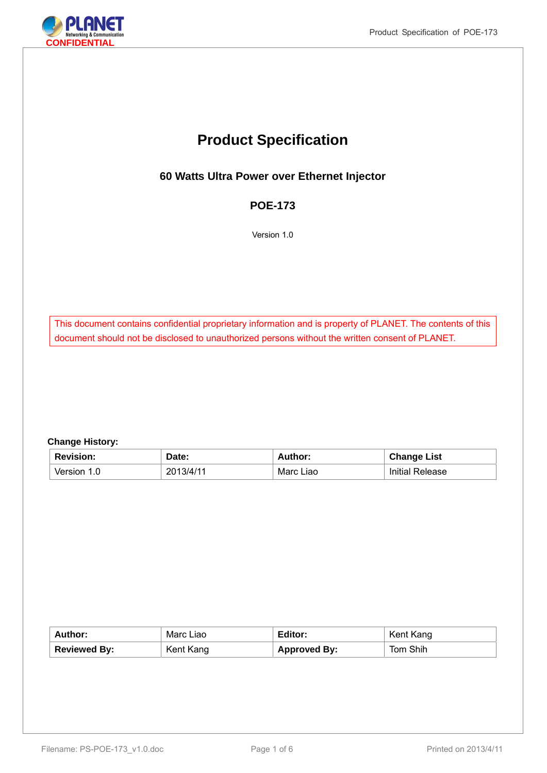

# **Product Specification**

**60 Watts Ultra Power over Ethernet Injector** 

### **POE-173**

Version 1.0

This document contains confidential proprietary information and is property of PLANET. The contents of this document should not be disclosed to unauthorized persons without the written consent of PLANET.

#### **Change History:**

| <b>Revision:</b>     | Date:     | <b>Author:</b> | <b>Change List</b>     |
|----------------------|-----------|----------------|------------------------|
| Version <sup>.</sup> | 2013/4/11 | Marc Liao      | <b>Initial Release</b> |

| Author:      | Marc Liao | Editor:             | Kent Kang |
|--------------|-----------|---------------------|-----------|
| Reviewed By: | Kent Kang | <b>Approved By:</b> | Tom Shih  |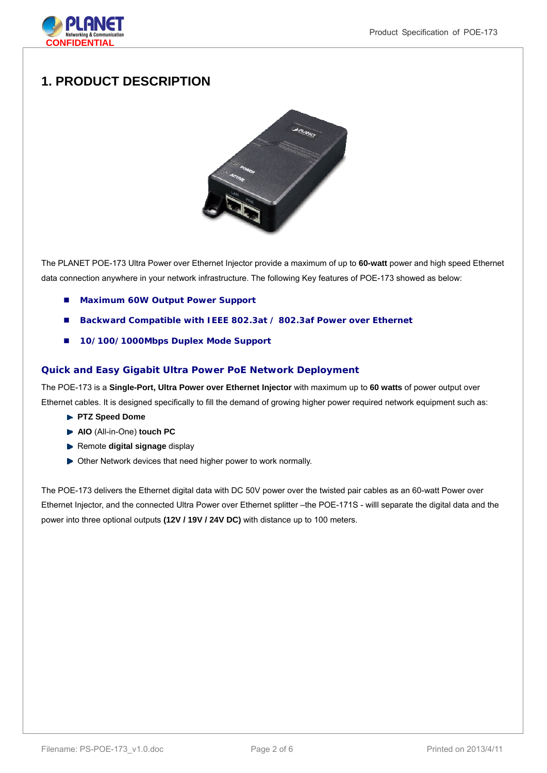

## **1. PRODUCT DESCRIPTION**



The PLANET POE-173 Ultra Power over Ethernet Injector provide a maximum of up to **60-watt** power and high speed Ethernet data connection anywhere in your network infrastructure. The following Key features of POE-173 showed as below:

- **Maximum 60W Output Power Support**
- **Backward Compatible with IEEE 802.3at / 802.3af Power over Ethernet**
- **10/100/1000Mbps Duplex Mode Support**

#### **Quick and Easy Gigabit Ultra Power PoE Network Deployment**

The POE-173 is a **Single-Port, Ultra Power over Ethernet Injector** with maximum up to **60 watts** of power output over Ethernet cables. It is designed specifically to fill the demand of growing higher power required network equipment such as:

- **PTZ Speed Dome**
- **AIO** (All-in-One) **touch PC**
- **Remote digital signage display**
- ▶ Other Network devices that need higher power to work normally.

The POE-173 delivers the Ethernet digital data with DC 50V power over the twisted pair cables as an 60-watt Power over Ethernet Injector, and the connected Ultra Power over Ethernet splitter –the POE-171S - willl separate the digital data and the power into three optional outputs **(12V / 19V / 24V DC)** with distance up to 100 meters.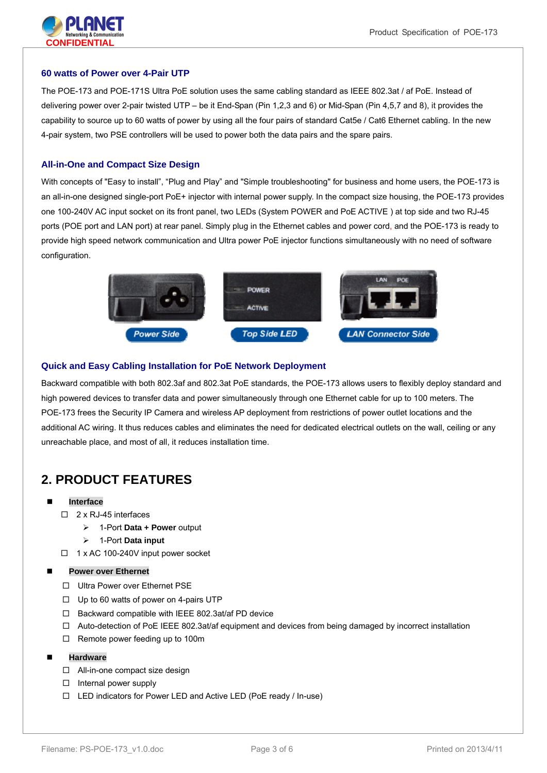

#### **60 watts of Power over 4-Pair UTP**

The POE-173 and POE-171S Ultra PoE solution uses the same cabling standard as IEEE 802.3at / af PoE. Instead of delivering power over 2-pair twisted UTP – be it End-Span (Pin 1,2,3 and 6) or Mid-Span (Pin 4,5,7 and 8), it provides the capability to source up to 60 watts of power by using all the four pairs of standard Cat5e / Cat6 Ethernet cabling. In the new 4-pair system, two PSE controllers will be used to power both the data pairs and the spare pairs.

#### **All-in-One and Compact Size Design**

With concepts of "Easy to install", "Plug and Play" and "Simple troubleshooting" for business and home users, the POE-173 is an all-in-one designed single-port PoE+ injector with internal power supply. In the compact size housing, the POE-173 provides one 100-240V AC input socket on its front panel, two LEDs (System POWER and PoE ACTIVE ) at top side and two RJ-45 ports (POE port and LAN port) at rear panel. Simply plug in the Ethernet cables and power cord, and the POE-173 is ready to provide high speed network communication and Ultra power PoE injector functions simultaneously with no need of software configuration.



#### **Quick and Easy Cabling Installation for PoE Network Deployment**

Backward compatible with both 802.3af and 802.3at PoE standards, the POE-173 allows users to flexibly deploy standard and high powered devices to transfer data and power simultaneously through one Ethernet cable for up to 100 meters. The POE-173 frees the Security IP Camera and wireless AP deployment from restrictions of power outlet locations and the additional AC wiring. It thus reduces cables and eliminates the need for dedicated electrical outlets on the wall, ceiling or any unreachable place, and most of all, it reduces installation time.

## **2. PRODUCT FEATURES**

- **Interface** 
	- □ 2 x RJ-45 interfaces
		- 1-Port **Data + Power** output
		- 1-Port **Data input**
	- $\Box$  1 x AC 100-240V input power socket

#### **Power over Ethernet**

- □ Ultra Power over Ethernet PSE
- $\Box$  Up to 60 watts of power on 4-pairs UTP
- $\Box$  Backward compatible with IEEE 802.3at/af PD device
- $\Box$  Auto-detection of PoE IEEE 802.3at/af equipment and devices from being damaged by incorrect installation
- $\Box$  Remote power feeding up to 100m
- **Hardware** 
	- □ All-in-one compact size design
	- $\Box$  Internal power supply
	- LED indicators for Power LED and Active LED (PoE ready / In-use)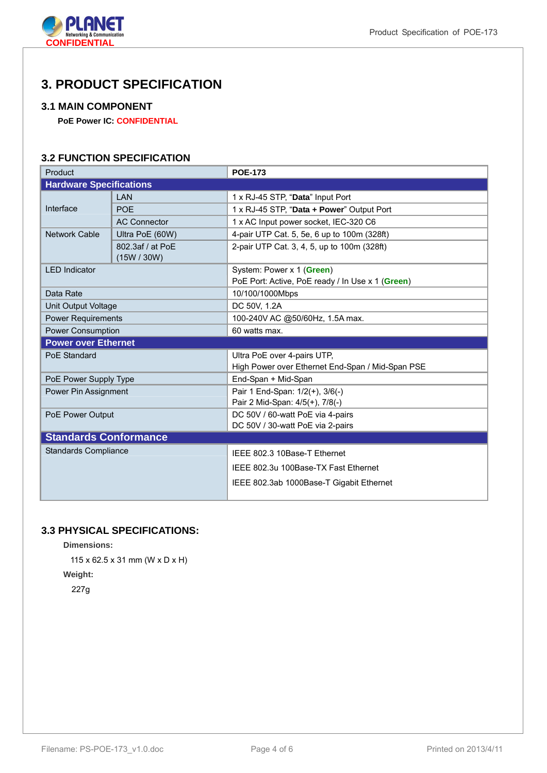

## **3. PRODUCT SPECIFICATION**

#### **3.1 MAIN COMPONENT**

**PoE Power IC: CONFIDENTIAL** 

### **3.2 FUNCTION SPECIFICATION**

| Product                        |                                 | <b>POE-173</b>                                   |  |
|--------------------------------|---------------------------------|--------------------------------------------------|--|
| <b>Hardware Specifications</b> |                                 |                                                  |  |
| Interface                      | LAN                             | 1 x RJ-45 STP, "Data" Input Port                 |  |
|                                | <b>POE</b>                      | 1 x RJ-45 STP, "Data + Power" Output Port        |  |
|                                | <b>AC Connector</b>             | 1 x AC Input power socket, IEC-320 C6            |  |
| <b>Network Cable</b>           | Ultra PoE (60W)                 | 4-pair UTP Cat. 5, 5e, 6 up to 100m (328ft)      |  |
|                                | 802.3af / at PoE<br>(15W / 30W) | 2-pair UTP Cat. 3, 4, 5, up to 100m (328ft)      |  |
| <b>LED</b> Indicator           |                                 | System: Power x 1 (Green)                        |  |
|                                |                                 | PoE Port: Active, PoE ready / In Use x 1 (Green) |  |
| Data Rate                      |                                 | 10/100/1000Mbps                                  |  |
| Unit Output Voltage            |                                 | DC 50V, 1.2A                                     |  |
| <b>Power Requirements</b>      |                                 | 100-240V AC @50/60Hz, 1.5A max.                  |  |
| <b>Power Consumption</b>       |                                 | 60 watts max.                                    |  |
| <b>Power over Ethernet</b>     |                                 |                                                  |  |
| PoE Standard                   |                                 | Ultra PoE over 4-pairs UTP,                      |  |
|                                |                                 | High Power over Ethernet End-Span / Mid-Span PSE |  |
| PoE Power Supply Type          |                                 | End-Span + Mid-Span                              |  |
| Power Pin Assignment           |                                 | Pair 1 End-Span: 1/2(+), 3/6(-)                  |  |
|                                |                                 | Pair 2 Mid-Span: 4/5(+), 7/8(-)                  |  |
| PoE Power Output               |                                 | DC 50V / 60-watt PoE via 4-pairs                 |  |
|                                |                                 | DC 50V / 30-watt PoE via 2-pairs                 |  |
| <b>Standards Conformance</b>   |                                 |                                                  |  |
| <b>Standards Compliance</b>    |                                 | IEEE 802.3 10Base-T Ethernet                     |  |
|                                |                                 | IEEE 802.3u 100Base-TX Fast Ethernet             |  |
|                                |                                 | IEEE 802.3ab 1000Base-T Gigabit Ethernet         |  |
|                                |                                 |                                                  |  |

## **3.3 PHYSICAL SPECIFICATIONS:**

**Dimensions:** 

115 x 62.5 x 31 mm (W x D x H) **Weight:** 

227g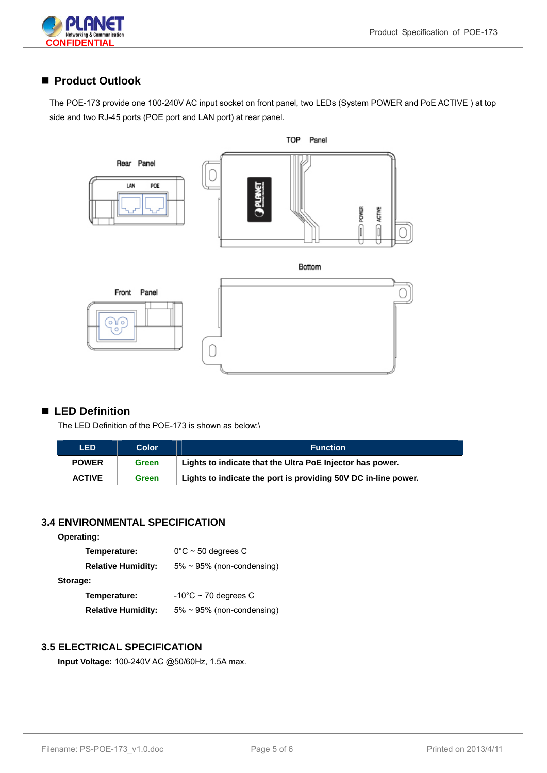



### ■ Product Outlook

The POE-173 provide one 100-240V AC input socket on front panel, two LEDs (System POWER and PoE ACTIVE ) at top side and two RJ-45 ports (POE port and LAN port) at rear panel.



#### ■ LED Definition

The LED Definition of the POE-173 is shown as below:\

| <b>LED</b>    | Color        | <b>Function</b>                                                |
|---------------|--------------|----------------------------------------------------------------|
| <b>POWER</b>  | Green        | Lights to indicate that the Ultra PoE Injector has power.      |
| <b>ACTIVE</b> | <b>Green</b> | Lights to indicate the port is providing 50V DC in-line power. |

### **3.4 ENVIRONMENTAL SPECIFICATION**

| <b>Operating:</b>         |                                  |
|---------------------------|----------------------------------|
| Temperature:              | $0^{\circ}$ C ~ 50 degrees C     |
| <b>Relative Humidity:</b> | $5\% \sim 95\%$ (non-condensing) |
| Storage:                  |                                  |
| Temperature:              | $-10^{\circ}$ C ~ 70 degrees C   |
| <b>Relative Humidity:</b> | $5\% \sim 95\%$ (non-condensing) |

#### **3.5 ELECTRICAL SPECIFICATION**

**Input Voltage:** 100-240V AC @50/60Hz, 1.5A max.